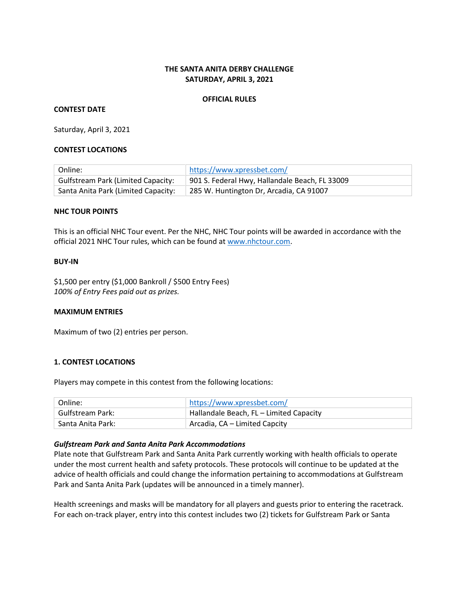## **THE SANTA ANITA DERBY CHALLENGE SATURDAY, APRIL 3, 2021**

#### **OFFICIAL RULES**

#### **CONTEST DATE**

Saturday, April 3, 2021

#### **CONTEST LOCATIONS**

| Online:                                   | https://www.xpressbet.com/                     |
|-------------------------------------------|------------------------------------------------|
| <b>Gulfstream Park (Limited Capacity:</b> | 901 S. Federal Hwy, Hallandale Beach, FL 33009 |
| Santa Anita Park (Limited Capacity:       | 285 W. Huntington Dr, Arcadia, CA 91007        |

#### **NHC TOUR POINTS**

This is an official NHC Tour event. Per the NHC, NHC Tour points will be awarded in accordance with the official 2021 NHC Tour rules, which can be found at [www.nhctour.com.](http://www.nhctour.com/)

#### **BUY-IN**

\$1,500 per entry (\$1,000 Bankroll / \$500 Entry Fees) *100% of Entry Fees paid out as prizes.* 

#### **MAXIMUM ENTRIES**

Maximum of two (2) entries per person.

### **1. CONTEST LOCATIONS**

Players may compete in this contest from the following locations:

| Online:           | https://www.xpressbet.com/              |
|-------------------|-----------------------------------------|
| Gulfstream Park:  | Hallandale Beach, FL - Limited Capacity |
| Santa Anita Park: | Arcadia, CA – Limited Capcity           |

#### *Gulfstream Park and Santa Anita Park Accommodations*

Plate note that Gulfstream Park and Santa Anita Park currently working with health officials to operate under the most current health and safety protocols. These protocols will continue to be updated at the advice of health officials and could change the information pertaining to accommodations at Gulfstream Park and Santa Anita Park (updates will be announced in a timely manner).

Health screenings and masks will be mandatory for all players and guests prior to entering the racetrack. For each on-track player, entry into this contest includes two (2) tickets for Gulfstream Park or Santa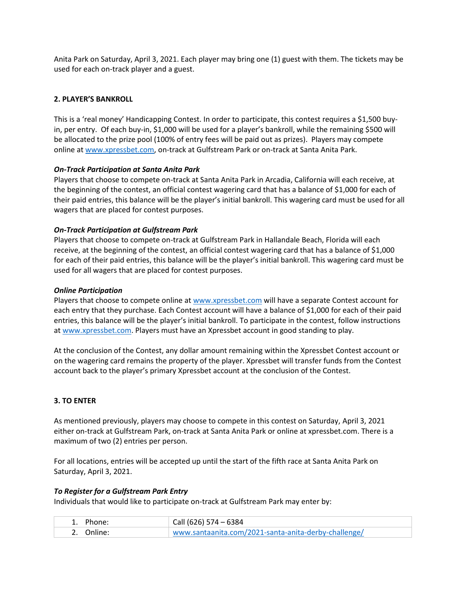Anita Park on Saturday, April 3, 2021. Each player may bring one (1) guest with them. The tickets may be used for each on-track player and a guest.

# **2. PLAYER'S BANKROLL**

This is a 'real money' Handicapping Contest. In order to participate, this contest requires a \$1,500 buyin, per entry. Of each buy-in, \$1,000 will be used for a player's bankroll, while the remaining \$500 will be allocated to the prize pool (100% of entry fees will be paid out as prizes). Players may compete online at [www.xpressbet.com,](http://www.xpressbet.com/) on-track at Gulfstream Park or on-track at Santa Anita Park.

## *On-Track Participation at Santa Anita Park*

Players that choose to compete on-track at Santa Anita Park in Arcadia, California will each receive, at the beginning of the contest, an official contest wagering card that has a balance of \$1,000 for each of their paid entries, this balance will be the player's initial bankroll. This wagering card must be used for all wagers that are placed for contest purposes.

## *On-Track Participation at Gulfstream Park*

Players that choose to compete on-track at Gulfstream Park in Hallandale Beach, Florida will each receive, at the beginning of the contest, an official contest wagering card that has a balance of \$1,000 for each of their paid entries, this balance will be the player's initial bankroll. This wagering card must be used for all wagers that are placed for contest purposes.

## *Online Participation*

Players that choose to compete online a[t www.xpressbet.com](http://www.xpressbet.com/) will have a separate Contest account for each entry that they purchase. Each Contest account will have a balance of \$1,000 for each of their paid entries, this balance will be the player's initial bankroll. To participate in the contest, follow instructions a[t www.xpressbet.com.](http://www.xpressbet.com/) Players must have an Xpressbet account in good standing to play.

At the conclusion of the Contest, any dollar amount remaining within the Xpressbet Contest account or on the wagering card remains the property of the player. Xpressbet will transfer funds from the Contest account back to the player's primary Xpressbet account at the conclusion of the Contest.

# **3. TO ENTER**

As mentioned previously, players may choose to compete in this contest on Saturday, April 3, 2021 either on-track at Gulfstream Park, on-track at Santa Anita Park or online at xpressbet.com. There is a maximum of two (2) entries per person.

For all locations, entries will be accepted up until the start of the fifth race at Santa Anita Park on Saturday, April 3, 2021.

### *To Register for a Gulfstream Park Entry*

Individuals that would like to participate on-track at Gulfstream Park may enter by:

| 1. Phone:  | Call (626) 574 - 6384                                |
|------------|------------------------------------------------------|
| 2. Online: | www.santaanita.com/2021-santa-anita-derby-challenge/ |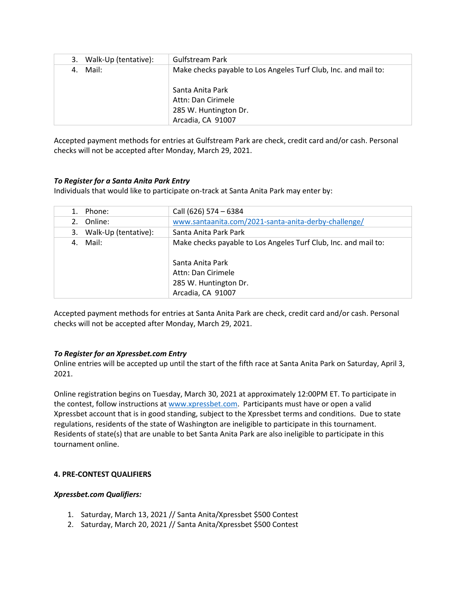| Walk-Up (tentative):<br>3. | <b>Gulfstream Park</b>                                          |
|----------------------------|-----------------------------------------------------------------|
| Mail:<br>4.                | Make checks payable to Los Angeles Turf Club, Inc. and mail to: |
|                            | Santa Anita Park                                                |
|                            | Attn: Dan Cirimele                                              |
|                            | 285 W. Huntington Dr.                                           |
|                            | Arcadia, CA 91007                                               |

Accepted payment methods for entries at Gulfstream Park are check, credit card and/or cash. Personal checks will not be accepted after Monday, March 29, 2021.

## *To Register for a Santa Anita Park Entry*

Individuals that would like to participate on-track at Santa Anita Park may enter by:

| Phone:<br>$1_{-}$          | Call (626) 574 - 6384                                           |
|----------------------------|-----------------------------------------------------------------|
| Online:<br>2.              | www.santaanita.com/2021-santa-anita-derby-challenge/            |
| Walk-Up (tentative):<br>3. | Santa Anita Park Park                                           |
| Mail:<br>4.                | Make checks payable to Los Angeles Turf Club, Inc. and mail to: |
|                            | Santa Anita Park                                                |
|                            | Attn: Dan Cirimele                                              |
|                            | 285 W. Huntington Dr.                                           |
|                            | Arcadia, CA 91007                                               |

Accepted payment methods for entries at Santa Anita Park are check, credit card and/or cash. Personal checks will not be accepted after Monday, March 29, 2021.

### *To Register for an Xpressbet.com Entry*

Online entries will be accepted up until the start of the fifth race at Santa Anita Park on Saturday, April 3, 2021.

Online registration begins on Tuesday, March 30, 2021 at approximately 12:00PM ET. To participate in the contest, follow instructions at [www.xpressbet.com.](http://www.xpressbet.com/) Participants must have or open a valid Xpressbet account that is in good standing, subject to the Xpressbet terms and conditions. Due to state regulations, residents of the state of Washington are ineligible to participate in this tournament. Residents of state(s) that are unable to bet Santa Anita Park are also ineligible to participate in this tournament online.

### **4. PRE-CONTEST QUALIFIERS**

### *Xpressbet.com Qualifiers:*

- 1. Saturday, March 13, 2021 // Santa Anita/Xpressbet \$500 Contest
- 2. Saturday, March 20, 2021 // Santa Anita/Xpressbet \$500 Contest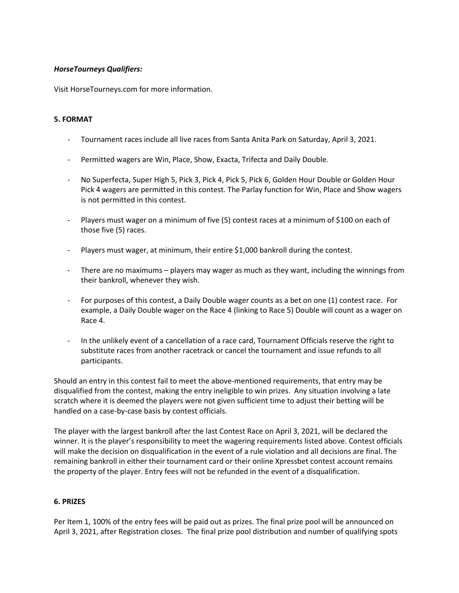## *HorseTourneys Qualifiers:*

Visit HorseTourneys.com for more information.

## **5. FORMAT**

- Tournament races include all live races from Santa Anita Park on Saturday, April 3, 2021.
- Permitted wagers are Win, Place, Show, Exacta, Trifecta and Daily Double.
- No Superfecta, Super High 5, Pick 3, Pick 4, Pick 5, Pick 6, Golden Hour Double or Golden Hour Pick 4 wagers are permitted in this contest. The Parlay function for Win, Place and Show wagers is not permitted in this contest.
- Players must wager on a minimum of five (5) contest races at a minimum of \$100 on each of those five (5) races.
- Players must wager, at minimum, their entire \$1,000 bankroll during the contest.
- There are no maximums players may wager as much as they want, including the winnings from their bankroll, whenever they wish.
- For purposes of this contest, a Daily Double wager counts as a bet on one (1) contest race. For example, a Daily Double wager on the Race 4 (linking to Race 5) Double will count as a wager on Race 4.
- In the unlikely event of a cancellation of a race card, Tournament Officials reserve the right to substitute races from another racetrack or cancel the tournament and issue refunds to all participants.

Should an entry in this contest fail to meet the above-mentioned requirements, that entry may be disqualified from the contest, making the entry ineligible to win prizes. Any situation involving a late scratch where it is deemed the players were not given sufficient time to adjust their betting will be handled on a case-by-case basis by contest officials.

The player with the largest bankroll after the last Contest Race on April 3, 2021, will be declared the winner. It is the player's responsibility to meet the wagering requirements listed above. Contest officials will make the decision on disqualification in the event of a rule violation and all decisions are final. The remaining bankroll in either their tournament card or their online Xpressbet contest account remains the property of the player. Entry fees will not be refunded in the event of a disqualification.

### **6. PRIZES**

Per Item 1, 100% of the entry fees will be paid out as prizes. The final prize pool will be announced on April 3, 2021, after Registration closes. The final prize pool distribution and number of qualifying spots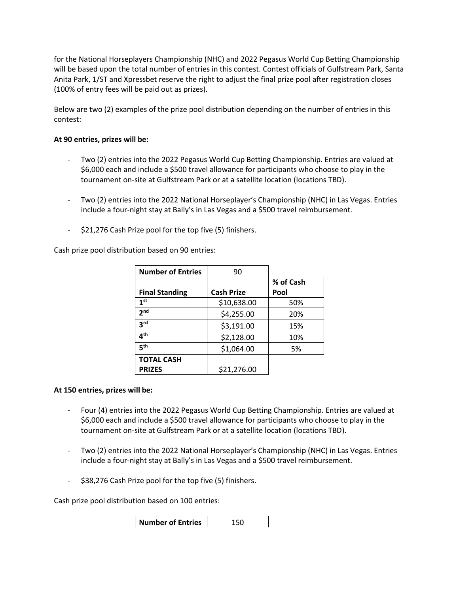for the National Horseplayers Championship (NHC) and 2022 Pegasus World Cup Betting Championship will be based upon the total number of entries in this contest. Contest officials of Gulfstream Park, Santa Anita Park, 1/ST and Xpressbet reserve the right to adjust the final prize pool after registration closes (100% of entry fees will be paid out as prizes).

Below are two (2) examples of the prize pool distribution depending on the number of entries in this contest:

## **At 90 entries, prizes will be:**

- Two (2) entries into the 2022 Pegasus World Cup Betting Championship. Entries are valued at \$6,000 each and include a \$500 travel allowance for participants who choose to play in the tournament on-site at Gulfstream Park or at a satellite location (locations TBD).
- Two (2) entries into the 2022 National Horseplayer's Championship (NHC) in Las Vegas. Entries include a four-night stay at Bally's in Las Vegas and a \$500 travel reimbursement.
- \$21,276 Cash Prize pool for the top five (5) finishers.

Cash prize pool distribution based on 90 entries:

| <b>Number of Entries</b> | 90                |           |
|--------------------------|-------------------|-----------|
|                          |                   | % of Cash |
| <b>Final Standing</b>    | <b>Cash Prize</b> | Pool      |
| 1 <sup>st</sup>          | \$10,638.00       | 50%       |
| 2 <sub>nd</sub>          | \$4,255.00        | 20%       |
| 3 <sup>rd</sup>          | \$3,191.00        | 15%       |
| 4 <sup>th</sup>          | \$2,128.00        | 10%       |
| 5 <sup>th</sup>          | \$1,064.00        | 5%        |
| <b>TOTAL CASH</b>        |                   |           |
| <b>PRIZES</b>            | \$21,276.00       |           |

# **At 150 entries, prizes will be:**

- Four (4) entries into the 2022 Pegasus World Cup Betting Championship. Entries are valued at \$6,000 each and include a \$500 travel allowance for participants who choose to play in the tournament on-site at Gulfstream Park or at a satellite location (locations TBD).
- Two (2) entries into the 2022 National Horseplayer's Championship (NHC) in Las Vegas. Entries include a four-night stay at Bally's in Las Vegas and a \$500 travel reimbursement.
- \$38,276 Cash Prize pool for the top five (5) finishers.

Cash prize pool distribution based on 100 entries:

**Number of Entries** | 150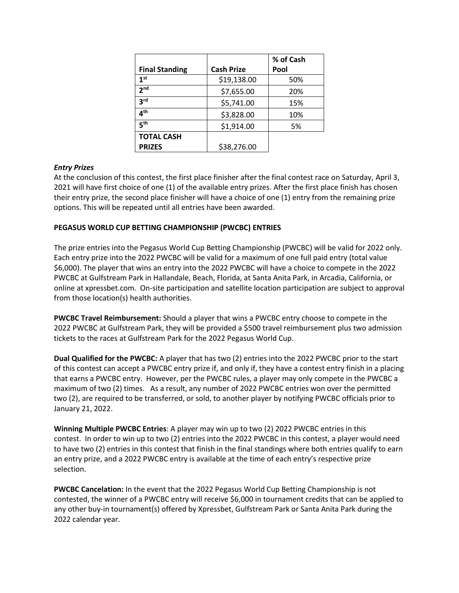|                          |                   | % of Cash |
|--------------------------|-------------------|-----------|
| <b>Final Standing</b>    | <b>Cash Prize</b> | Pool      |
| 1 <sup>st</sup>          | \$19,138.00       | 50%       |
| 2 <sub>nd</sub>          | \$7,655.00        | 20%       |
| 3 <sup>rd</sup>          | \$5,741.00        | 15%       |
| $\mathbf{A}^{\text{th}}$ | \$3,828.00        | 10%       |
| 5 <sup>th</sup>          | \$1,914.00        | 5%        |
| <b>TOTAL CASH</b>        |                   |           |
| <b>PRIZES</b>            | \$38,276.00       |           |

## *Entry Prizes*

At the conclusion of this contest, the first place finisher after the final contest race on Saturday, April 3, 2021 will have first choice of one (1) of the available entry prizes. After the first place finish has chosen their entry prize, the second place finisher will have a choice of one (1) entry from the remaining prize options. This will be repeated until all entries have been awarded.

## **PEGASUS WORLD CUP BETTING CHAMPIONSHIP (PWCBC) ENTRIES**

The prize entries into the Pegasus World Cup Betting Championship (PWCBC) will be valid for 2022 only. Each entry prize into the 2022 PWCBC will be valid for a maximum of one full paid entry (total value \$6,000). The player that wins an entry into the 2022 PWCBC will have a choice to compete in the 2022 PWCBC at Gulfstream Park in Hallandale, Beach, Florida, at Santa Anita Park, in Arcadia, California, or online at xpressbet.com. On-site participation and satellite location participation are subject to approval from those location(s) health authorities.

**PWCBC Travel Reimbursement:** Should a player that wins a PWCBC entry choose to compete in the 2022 PWCBC at Gulfstream Park, they will be provided a \$500 travel reimbursement plus two admission tickets to the races at Gulfstream Park for the 2022 Pegasus World Cup.

**Dual Qualified for the PWCBC:** A player that has two (2) entries into the 2022 PWCBC prior to the start of this contest can accept a PWCBC entry prize if, and only if, they have a contest entry finish in a placing that earns a PWCBC entry. However, per the PWCBC rules, a player may only compete in the PWCBC a maximum of two (2) times. As a result, any number of 2022 PWCBC entries won over the permitted two (2), are required to be transferred, or sold, to another player by notifying PWCBC officials prior to January 21, 2022.

**Winning Multiple PWCBC Entries**: A player may win up to two (2) 2022 PWCBC entries in this contest. In order to win up to two (2) entries into the 2022 PWCBC in this contest, a player would need to have two (2) entries in this contest that finish in the final standings where both entries qualify to earn an entry prize, and a 2022 PWCBC entry is available at the time of each entry's respective prize selection.

**PWCBC Cancelation:** In the event that the 2022 Pegasus World Cup Betting Championship is not contested, the winner of a PWCBC entry will receive \$6,000 in tournament credits that can be applied to any other buy-in tournament(s) offered by Xpressbet, Gulfstream Park or Santa Anita Park during the 2022 calendar year.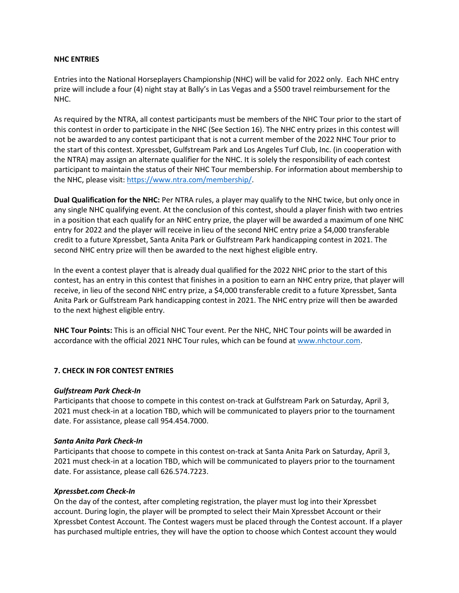#### **NHC ENTRIES**

Entries into the National Horseplayers Championship (NHC) will be valid for 2022 only. Each NHC entry prize will include a four (4) night stay at Bally's in Las Vegas and a \$500 travel reimbursement for the NHC.

As required by the NTRA, all contest participants must be members of the NHC Tour prior to the start of this contest in order to participate in the NHC (See Section 16). The NHC entry prizes in this contest will not be awarded to any contest participant that is not a current member of the 2022 NHC Tour prior to the start of this contest. Xpressbet, Gulfstream Park and Los Angeles Turf Club, Inc. (in cooperation with the NTRA) may assign an alternate qualifier for the NHC. It is solely the responsibility of each contest participant to maintain the status of their NHC Tour membership. For information about membership to the NHC, please visit: [https://www.ntra.com/membership/.](https://www.ntra.com/membership/)

**Dual Qualification for the NHC:** Per NTRA rules, a player may qualify to the NHC twice, but only once in any single NHC qualifying event. At the conclusion of this contest, should a player finish with two entries in a position that each qualify for an NHC entry prize, the player will be awarded a maximum of one NHC entry for 2022 and the player will receive in lieu of the second NHC entry prize a \$4,000 transferable credit to a future Xpressbet, Santa Anita Park or Gulfstream Park handicapping contest in 2021. The second NHC entry prize will then be awarded to the next highest eligible entry.

In the event a contest player that is already dual qualified for the 2022 NHC prior to the start of this contest, has an entry in this contest that finishes in a position to earn an NHC entry prize, that player will receive, in lieu of the second NHC entry prize, a \$4,000 transferable credit to a future Xpressbet, Santa Anita Park or Gulfstream Park handicapping contest in 2021. The NHC entry prize will then be awarded to the next highest eligible entry.

**NHC Tour Points:** This is an official NHC Tour event. Per the NHC, NHC Tour points will be awarded in accordance with the official 2021 NHC Tour rules, which can be found at [www.nhctour.com.](http://www.nhctour.com/)

### **7. CHECK IN FOR CONTEST ENTRIES**

### *Gulfstream Park Check-In*

Participants that choose to compete in this contest on-track at Gulfstream Park on Saturday, April 3, 2021 must check-in at a location TBD, which will be communicated to players prior to the tournament date. For assistance, please call 954.454.7000.

#### *Santa Anita Park Check-In*

Participants that choose to compete in this contest on-track at Santa Anita Park on Saturday, April 3, 2021 must check-in at a location TBD, which will be communicated to players prior to the tournament date. For assistance, please call 626.574.7223.

#### *Xpressbet.com Check-In*

On the day of the contest, after completing registration, the player must log into their Xpressbet account. During login, the player will be prompted to select their Main Xpressbet Account or their Xpressbet Contest Account. The Contest wagers must be placed through the Contest account. If a player has purchased multiple entries, they will have the option to choose which Contest account they would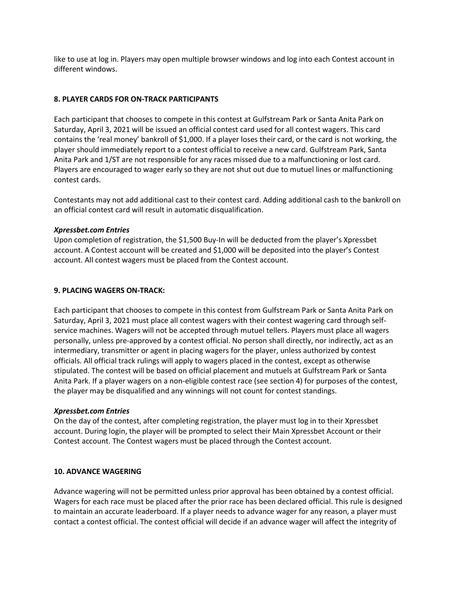like to use at log in. Players may open multiple browser windows and log into each Contest account in different windows.

### **8. PLAYER CARDS FOR ON-TRACK PARTICIPANTS**

Each participant that chooses to compete in this contest at Gulfstream Park or Santa Anita Park on Saturday, April 3, 2021 will be issued an official contest card used for all contest wagers. This card contains the 'real money' bankroll of \$1,000. If a player loses their card, or the card is not working, the player should immediately report to a contest official to receive a new card. Gulfstream Park, Santa Anita Park and 1/ST are not responsible for any races missed due to a malfunctioning or lost card. Players are encouraged to wager early so they are not shut out due to mutuel lines or malfunctioning contest cards.

Contestants may not add additional cast to their contest card. Adding additional cash to the bankroll on an official contest card will result in automatic disqualification.

### *Xpressbet.com Entries*

Upon completion of registration, the \$1,500 Buy-In will be deducted from the player's Xpressbet account. A Contest account will be created and \$1,000 will be deposited into the player's Contest account. All contest wagers must be placed from the Contest account.

### **9. PLACING WAGERS ON-TRACK:**

Each participant that chooses to compete in this contest from Gulfstream Park or Santa Anita Park on Saturday, April 3, 2021 must place all contest wagers with their contest wagering card through selfservice machines. Wagers will not be accepted through mutuel tellers. Players must place all wagers personally, unless pre-approved by a contest official. No person shall directly, nor indirectly, act as an intermediary, transmitter or agent in placing wagers for the player, unless authorized by contest officials. All official track rulings will apply to wagers placed in the contest, except as otherwise stipulated. The contest will be based on official placement and mutuels at Gulfstream Park or Santa Anita Park. If a player wagers on a non-eligible contest race (see section 4) for purposes of the contest, the player may be disqualified and any winnings will not count for contest standings.

#### *Xpressbet.com Entries*

On the day of the contest, after completing registration, the player must log in to their Xpressbet account. During login, the player will be prompted to select their Main Xpressbet Account or their Contest account. The Contest wagers must be placed through the Contest account.

#### **10. ADVANCE WAGERING**

Advance wagering will not be permitted unless prior approval has been obtained by a contest official. Wagers for each race must be placed after the prior race has been declared official. This rule is designed to maintain an accurate leaderboard. If a player needs to advance wager for any reason, a player must contact a contest official. The contest official will decide if an advance wager will affect the integrity of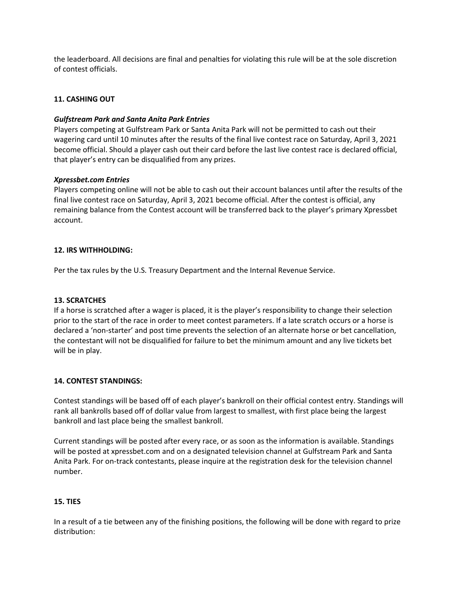the leaderboard. All decisions are final and penalties for violating this rule will be at the sole discretion of contest officials.

## **11. CASHING OUT**

### *Gulfstream Park and Santa Anita Park Entries*

Players competing at Gulfstream Park or Santa Anita Park will not be permitted to cash out their wagering card until 10 minutes after the results of the final live contest race on Saturday, April 3, 2021 become official. Should a player cash out their card before the last live contest race is declared official, that player's entry can be disqualified from any prizes.

#### *Xpressbet.com Entries*

Players competing online will not be able to cash out their account balances until after the results of the final live contest race on Saturday, April 3, 2021 become official. After the contest is official, any remaining balance from the Contest account will be transferred back to the player's primary Xpressbet account.

#### **12. IRS WITHHOLDING:**

Per the tax rules by the U.S. Treasury Department and the Internal Revenue Service.

### **13. SCRATCHES**

If a horse is scratched after a wager is placed, it is the player's responsibility to change their selection prior to the start of the race in order to meet contest parameters. If a late scratch occurs or a horse is declared a 'non-starter' and post time prevents the selection of an alternate horse or bet cancellation, the contestant will not be disqualified for failure to bet the minimum amount and any live tickets bet will be in play.

#### **14. CONTEST STANDINGS:**

Contest standings will be based off of each player's bankroll on their official contest entry. Standings will rank all bankrolls based off of dollar value from largest to smallest, with first place being the largest bankroll and last place being the smallest bankroll.

Current standings will be posted after every race, or as soon as the information is available. Standings will be posted at xpressbet.com and on a designated television channel at Gulfstream Park and Santa Anita Park. For on-track contestants, please inquire at the registration desk for the television channel number.

### **15. TIES**

In a result of a tie between any of the finishing positions, the following will be done with regard to prize distribution: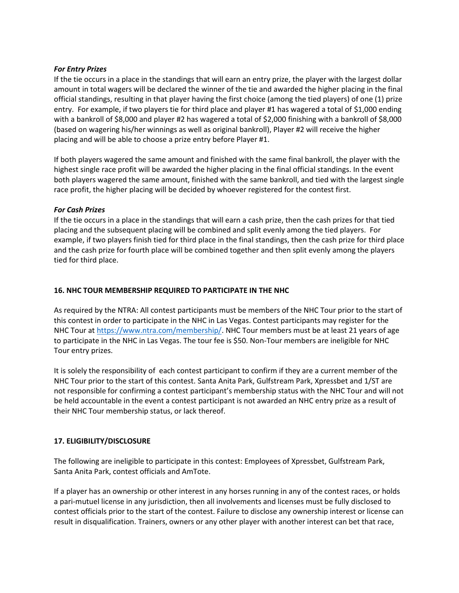## *For Entry Prizes*

If the tie occurs in a place in the standings that will earn an entry prize, the player with the largest dollar amount in total wagers will be declared the winner of the tie and awarded the higher placing in the final official standings, resulting in that player having the first choice (among the tied players) of one (1) prize entry. For example, if two players tie for third place and player #1 has wagered a total of \$1,000 ending with a bankroll of \$8,000 and player #2 has wagered a total of \$2,000 finishing with a bankroll of \$8,000 (based on wagering his/her winnings as well as original bankroll), Player #2 will receive the higher placing and will be able to choose a prize entry before Player #1.

If both players wagered the same amount and finished with the same final bankroll, the player with the highest single race profit will be awarded the higher placing in the final official standings. In the event both players wagered the same amount, finished with the same bankroll, and tied with the largest single race profit, the higher placing will be decided by whoever registered for the contest first.

## *For Cash Prizes*

If the tie occurs in a place in the standings that will earn a cash prize, then the cash prizes for that tied placing and the subsequent placing will be combined and split evenly among the tied players. For example, if two players finish tied for third place in the final standings, then the cash prize for third place and the cash prize for fourth place will be combined together and then split evenly among the players tied for third place.

## **16. NHC TOUR MEMBERSHIP REQUIRED TO PARTICIPATE IN THE NHC**

As required by the NTRA: All contest participants must be members of the NHC Tour prior to the start of this contest in order to participate in the NHC in Las Vegas. Contest participants may register for the NHC Tour at [https://www.ntra.com/membership/.](https://www.ntra.com/membership/) NHC Tour members must be at least 21 years of age to participate in the NHC in Las Vegas. The tour fee is \$50. Non-Tour members are ineligible for NHC Tour entry prizes.

It is solely the responsibility of each contest participant to confirm if they are a current member of the NHC Tour prior to the start of this contest. Santa Anita Park, Gulfstream Park, Xpressbet and 1/ST are not responsible for confirming a contest participant's membership status with the NHC Tour and will not be held accountable in the event a contest participant is not awarded an NHC entry prize as a result of their NHC Tour membership status, or lack thereof.

# **17. ELIGIBILITY/DISCLOSURE**

The following are ineligible to participate in this contest: Employees of Xpressbet, Gulfstream Park, Santa Anita Park, contest officials and AmTote.

If a player has an ownership or other interest in any horses running in any of the contest races, or holds a pari-mutuel license in any jurisdiction, then all involvements and licenses must be fully disclosed to contest officials prior to the start of the contest. Failure to disclose any ownership interest or license can result in disqualification. Trainers, owners or any other player with another interest can bet that race,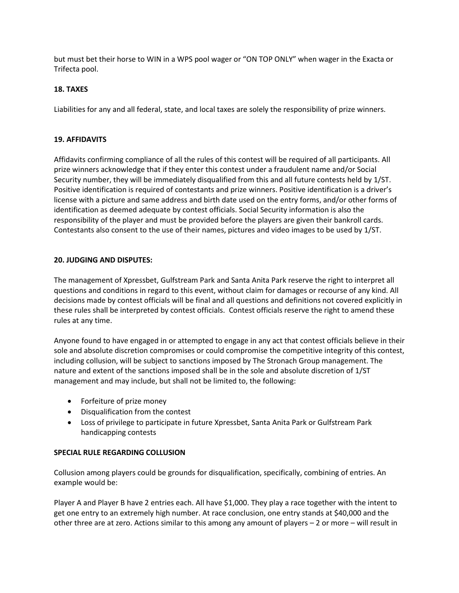but must bet their horse to WIN in a WPS pool wager or "ON TOP ONLY" when wager in the Exacta or Trifecta pool.

## **18. TAXES**

Liabilities for any and all federal, state, and local taxes are solely the responsibility of prize winners.

## **19. AFFIDAVITS**

Affidavits confirming compliance of all the rules of this contest will be required of all participants. All prize winners acknowledge that if they enter this contest under a fraudulent name and/or Social Security number, they will be immediately disqualified from this and all future contests held by 1/ST. Positive identification is required of contestants and prize winners. Positive identification is a driver's license with a picture and same address and birth date used on the entry forms, and/or other forms of identification as deemed adequate by contest officials. Social Security information is also the responsibility of the player and must be provided before the players are given their bankroll cards. Contestants also consent to the use of their names, pictures and video images to be used by 1/ST.

## **20. JUDGING AND DISPUTES:**

The management of Xpressbet, Gulfstream Park and Santa Anita Park reserve the right to interpret all questions and conditions in regard to this event, without claim for damages or recourse of any kind. All decisions made by contest officials will be final and all questions and definitions not covered explicitly in these rules shall be interpreted by contest officials. Contest officials reserve the right to amend these rules at any time.

Anyone found to have engaged in or attempted to engage in any act that contest officials believe in their sole and absolute discretion compromises or could compromise the competitive integrity of this contest, including collusion, will be subject to sanctions imposed by The Stronach Group management. The nature and extent of the sanctions imposed shall be in the sole and absolute discretion of 1/ST management and may include, but shall not be limited to, the following:

- Forfeiture of prize money
- Disqualification from the contest
- Loss of privilege to participate in future Xpressbet, Santa Anita Park or Gulfstream Park handicapping contests

### **SPECIAL RULE REGARDING COLLUSION**

Collusion among players could be grounds for disqualification, specifically, combining of entries. An example would be:

Player A and Player B have 2 entries each. All have \$1,000. They play a race together with the intent to get one entry to an extremely high number. At race conclusion, one entry stands at \$40,000 and the other three are at zero. Actions similar to this among any amount of players – 2 or more – will result in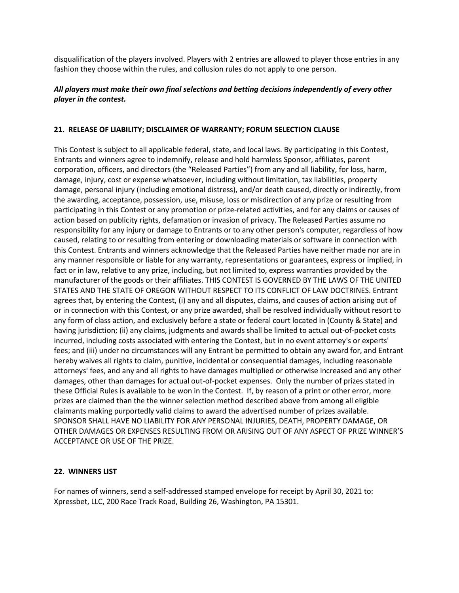disqualification of the players involved. Players with 2 entries are allowed to player those entries in any fashion they choose within the rules, and collusion rules do not apply to one person.

## *All players must make their own final selections and betting decisions independently of every other player in the contest.*

## **21. RELEASE OF LIABILITY; DISCLAIMER OF WARRANTY; FORUM SELECTION CLAUSE**

This Contest is subject to all applicable federal, state, and local laws. By participating in this Contest, Entrants and winners agree to indemnify, release and hold harmless Sponsor, affiliates, parent corporation, officers, and directors (the "Released Parties") from any and all liability, for loss, harm, damage, injury, cost or expense whatsoever, including without limitation, tax liabilities, property damage, personal injury (including emotional distress), and/or death caused, directly or indirectly, from the awarding, acceptance, possession, use, misuse, loss or misdirection of any prize or resulting from participating in this Contest or any promotion or prize-related activities, and for any claims or causes of action based on publicity rights, defamation or invasion of privacy. The Released Parties assume no responsibility for any injury or damage to Entrants or to any other person's computer, regardless of how caused, relating to or resulting from entering or downloading materials or software in connection with this Contest. Entrants and winners acknowledge that the Released Parties have neither made nor are in any manner responsible or liable for any warranty, representations or guarantees, express or implied, in fact or in law, relative to any prize, including, but not limited to, express warranties provided by the manufacturer of the goods or their affiliates. THIS CONTEST IS GOVERNED BY THE LAWS OF THE UNITED STATES AND THE STATE OF OREGON WITHOUT RESPECT TO ITS CONFLICT OF LAW DOCTRINES. Entrant agrees that, by entering the Contest, (i) any and all disputes, claims, and causes of action arising out of or in connection with this Contest, or any prize awarded, shall be resolved individually without resort to any form of class action, and exclusively before a state or federal court located in (County & State) and having jurisdiction; (ii) any claims, judgments and awards shall be limited to actual out-of-pocket costs incurred, including costs associated with entering the Contest, but in no event attorney's or experts' fees; and (iii) under no circumstances will any Entrant be permitted to obtain any award for, and Entrant hereby waives all rights to claim, punitive, incidental or consequential damages, including reasonable attorneys' fees, and any and all rights to have damages multiplied or otherwise increased and any other damages, other than damages for actual out-of-pocket expenses. Only the number of prizes stated in these Official Rules is available to be won in the Contest. If, by reason of a print or other error, more prizes are claimed than the the winner selection method described above from among all eligible claimants making purportedly valid claims to award the advertised number of prizes available. SPONSOR SHALL HAVE NO LIABILITY FOR ANY PERSONAL INJURIES, DEATH, PROPERTY DAMAGE, OR OTHER DAMAGES OR EXPENSES RESULTING FROM OR ARISING OUT OF ANY ASPECT OF PRIZE WINNER'S ACCEPTANCE OR USE OF THE PRIZE.

### **22. WINNERS LIST**

For names of winners, send a self-addressed stamped envelope for receipt by April 30, 2021 to: Xpressbet, LLC, 200 Race Track Road, Building 26, Washington, PA 15301.